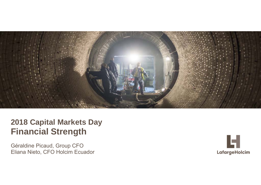

# **2018 Capital Markets Day Financial Strength**

Eliana Nieto, CFO Holcim Ecuador Géraldine Picaud, Group CFO

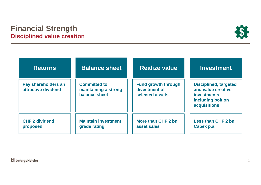### **Financial Strength Disciplined value creation**



| <b>Returns</b>                             | <b>Balance sheet</b>                                         | <b>Realize value</b>                                           | <b>Investment</b>                                                                                                    |
|--------------------------------------------|--------------------------------------------------------------|----------------------------------------------------------------|----------------------------------------------------------------------------------------------------------------------|
| Pay shareholders an<br>attractive dividend | <b>Committed to</b><br>maintaining a strong<br>balance sheet | <b>Fund growth through</b><br>divestment of<br>selected assets | <b>Disciplined, targeted</b><br>and value creative<br><b>investments</b><br>including bolt on<br><b>acquisitions</b> |
| <b>CHF 2 dividend</b><br>proposed          | <b>Maintain investment</b><br>grade rating                   | More than CHF 2 bn<br>asset sales                              | <b>Less than CHF 2 bn</b><br>Capex p.a.                                                                              |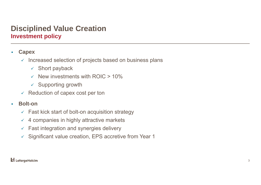# **Disciplined Value Creation Investment policy**

#### $\overline{\phantom{a}}$ **Capex**

- $\checkmark$  Increased selection of projects based on business plans
	- $\checkmark$  Short payback
	- $\checkmark$  New investments with ROIC  $> 10\%$
	- $\times$  Supporting growth
- $\checkmark$  Reduction of capex cost per ton

#### $\mathbf{r}$ **Bolt-on**

- $\checkmark$  Fast kick start of bolt-on acquisition strategy
- $\checkmark$  4 companies in highly attractive markets
- $\checkmark$  Fast integration and synergies delivery
- $\checkmark$  Significant value creation, EPS accretive from Year 1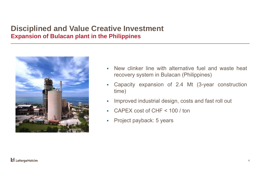## **Disciplined and Value Creative Investment Expansion of Bulacan plant in the Philippines**



- $\mathbf{r}$  New clinker line with alternative fuel and waste heat recovery system in Bulacan (Philippines)
- $\overline{\phantom{a}}$  Capacity expansion of 2.4 Mt (3-year construction time)
- $\overline{\phantom{a}}$ Improved industrial design, costs and fast roll out
- $\mathbf{r}$ CAPEX cost of CHF <sup>&</sup>lt; 100 / ton
- $\mathcal{L}_{\mathcal{A}}$ Project payback: 5 years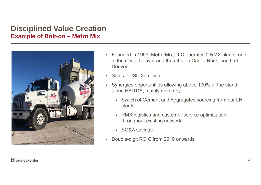### **Disciplined Value Creation Example of Bolt-on – Metro Mix**



- Founded in 1999, Metro Mix, LLC operates 2 RMX plants, one in the city of Denver and the other in Castle Rock, south of Denver
- Sales ≈ USD 30million
- Synergies opportunities allowing above 100% of the standalone EBITDA, mainly driven by:
	- Switch of Cement and Aggregates sourcing from our LH plants
	- $\mathbf{r}$  RMX logistics and customer service optimization throughout existing network
	- SG&A savings
- Double-digit ROIC from 2019 onwards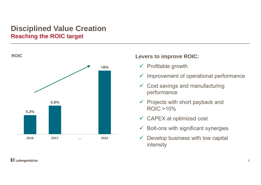## **Disciplined Value Creation Reaching the ROIC target**



#### **Levers to improve ROIC:**

- $\checkmark$  Profitable growth
- $\checkmark$  Improvement of operational performance
- $\checkmark$  Cost savings and manufacturing performance
- $\checkmark$  Projects with short payback and ROIC >10%
- $\checkmark$  CAPEX at optimized cost
- $\checkmark$ Bolt-ons with significant synergies
- $\checkmark$  Develop business with low capital intensity

#### **H** LafargeHolcim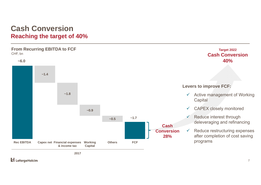### **Cash ConversionReaching the target of 40%**

#### **From Recurring EBITDA to FCF** CHF, bn

**Cash Conversion28%~6.0 ~1.4 ~1.8 ~0.9**   $\sim 0.5$   $\sim 1.7$ **Rec EBITDA Capex net Financial expenses & income taxWorking Capital Others FCF**

**2017**

**H** LafargeHolcim

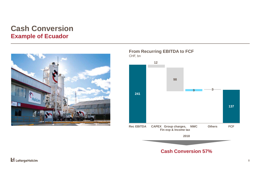### **Cash Conversion Example of Ecuador**



**From Recurring EBITDA to FCF**



**Li** LafargeHolcim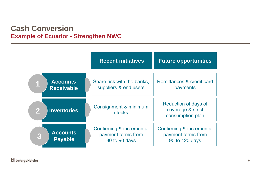#### **Cash Conversion Example of Ecuador - Strengthen NWC**

|                                               | <b>Recent initiatives</b>              | <b>Future opportunities</b>                                   |
|-----------------------------------------------|----------------------------------------|---------------------------------------------------------------|
| <b>Accounts</b>                               | Share risk with the banks,             | Remittances & credit card                                     |
| <b>Receivable</b>                             | suppliers & end users                  | payments                                                      |
| $\overline{\mathbf{2}}$<br><b>Inventories</b> | Consignment & minimum<br><b>stocks</b> | Reduction of days of<br>coverage & strict<br>consumption plan |
| <b>Accounts</b>                               | Confirming & incremental               | Confirming & incremental                                      |
| 3                                             | payment terms from                     | payment terms from                                            |
| <b>Payable</b>                                | 30 to 90 days                          | 90 to 120 days                                                |

**Li** LafargeHolcim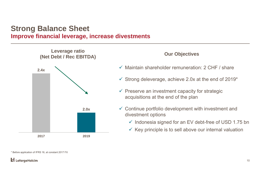### **Strong Balance Sheet Improve financial leverage, increase divestments**



#### \* Before application of IFRS 16, at constant 2017 FX

#### LafargeHolcim

- $\checkmark$  Maintain shareholder remuneration: 2 CHF / share
- $\checkmark$  Strong deleverage, achieve 2.0x at the end of 2019\*
- $\checkmark$  Preserve an investment capacity for strategic acquisitions at the end of the plan
- $\checkmark$  Continue portfolio development with investment and divestment options
	- $\checkmark$  Indonesia signed for an EV debt-free of USD 1.75 bn
	- $\checkmark$  Key principle is to sell above our internal valuation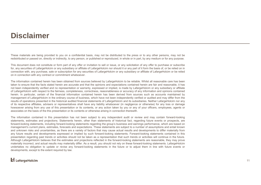# **Disclaimer**

These materials are being provided to you on <sup>a</sup> confidential basis, may not be distributed to the press or to any other persons, may not be redistributed or passed on, directly or indirectly, to any person, or published or reproduced, in whole or in part, by any medium or for any purpose.

This document does not constitute or form part of any offer or invitation to sell or issue, or any solicitation of any offer to purchase or subscribe for, any securities of LafargeHolcim or any subsidiary or affiliate of LafargeHolcim nor should it or any part of it form the basis of, or be relied on in connection with, any purchase, sale or subscription for any securities of LafargeHolcim or any subsidiary or affiliate of LafargeHolcim or be relied on in connection with any contract or commitment whatsoever.

The information contained herein has been obtained from sources believed by LafargeHolcim to be reliable. Whilst all reasonable care has been taken to ensure that the facts stated herein are accurate and that the opinions and expectations contained herein are fair and reasonable, it has not been independently verified and no representation or warranty, expressed or implied, is made by LafargeHolcim or any subsidiary or affiliate of LafargeHolcim with respect to the fairness, completeness, correctness, reasonableness or accuracy of any information and opinions contained herein. In particular, certain of the financial information contained herein has been derived from sources such as accounts maintained by management of LafargeHolcim in the ordinary course of business, which have not been independently verified or audited and may differ from the results of operations presented in the historical audited financial statements of LafargeHolcim and its subsidiaries. Neither LafargeHolcim nor any of its respective affiliates, advisers or representatives shall have any liability whatsoever (in negligence or otherwise) for any loss or damage howsoever arising from any use of this presentation or its contents, or any action taken by you or any of your officers, employees, agents or associates on the basis of the this presentation or its contents or otherwise arising in connection therewith.

The information contained in this presentation has not been subject to any independent audit or review and may contain forward-looking statements, estimates and projections. Statements herein, other than statements of historical fact, regarding future events or prospects, are forward-looking statements, including forward-looking statements regarding the group's business and earnings performance, which are based on management's current plans, estimates, forecasts and expectations. These statements are subject to <sup>a</sup> number of assumptions and entail known and unknown risks and uncertainties, as there are <sup>a</sup> variety of factors that may cause actual results and developments to differ materially from any future results and developments expressed or implied by such forward-looking statements. Forward-looking statements contained in this presentation regarding past trends or activities should not be taken as <sup>a</sup> representation that such trends or activities will continue in the future. Although LafargeHolcim believes that the estimates and projections reflected in the forward-looking statements are reasonable, they may prove materially incorrect, and actual results may materially differ. As <sup>a</sup> result, you should not rely on these forward-looking statements. LafargeHolcim undertakes no obligation to update or revise any forward-looking statements in the future or to adjust them in line with future events or developments, except to the extent required by law.

#### **L** LafargeHolcim